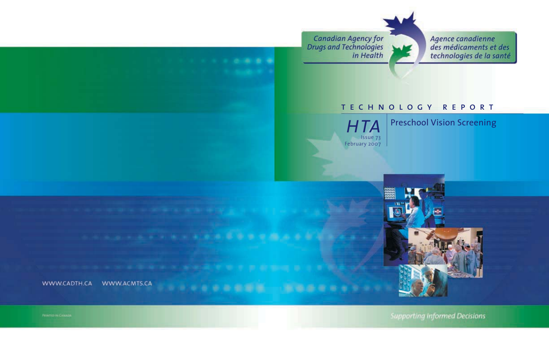**Canadian Agency for<br>Drugs and Technologies** in Health



Agence canadienne des médicaments et des technologies de la santé

### technology report



Preschool Vision Screening



**Supporting Informed Decisions**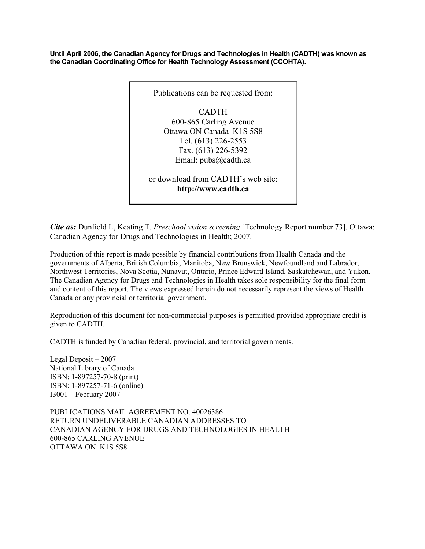**Until April 2006, the Canadian Agency for Drugs and Technologies in Health (CADTH) was known as the Canadian Coordinating Office for Health Technology Assessment (CCOHTA).** 



*Cite as:* Dunfield L, Keating T. *Preschool vision screening* [Technology Report number 73]. Ottawa: Canadian Agency for Drugs and Technologies in Health; 2007.

Production of this report is made possible by financial contributions from Health Canada and the governments of Alberta, British Columbia, Manitoba, New Brunswick, Newfoundland and Labrador, Northwest Territories, Nova Scotia, Nunavut, Ontario, Prince Edward Island, Saskatchewan, and Yukon. The Canadian Agency for Drugs and Technologies in Health takes sole responsibility for the final form and content of this report. The views expressed herein do not necessarily represent the views of Health Canada or any provincial or territorial government.

Reproduction of this document for non-commercial purposes is permitted provided appropriate credit is given to CADTH.

CADTH is funded by Canadian federal, provincial, and territorial governments.

Legal Deposit – 2007 National Library of Canada ISBN: 1-897257-70-8 (print) ISBN: 1-897257-71-6 (online) I3001 – February 2007

PUBLICATIONS MAIL AGREEMENT NO. 40026386 RETURN UNDELIVERABLE CANADIAN ADDRESSES TO CANADIAN AGENCY FOR DRUGS AND TECHNOLOGIES IN HEALTH 600-865 CARLING AVENUE OTTAWA ON K1S 5S8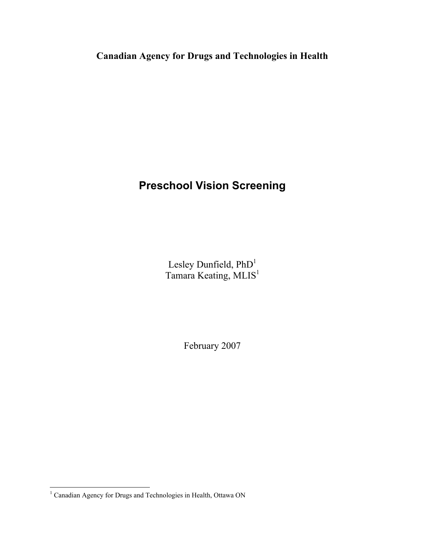**Canadian Agency for Drugs and Technologies in Health**

### **Preschool Vision Screening**

Lesley Dunfield, PhD<sup>1</sup> Tamara Keating, MLIS<sup>1</sup>

February 2007

 1 Canadian Agency for Drugs and Technologies in Health, Ottawa ON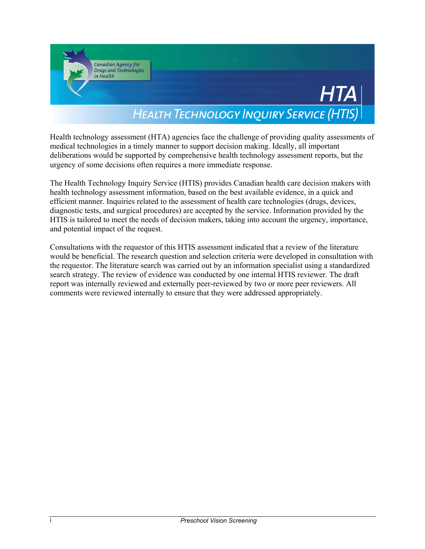

Health technology assessment (HTA) agencies face the challenge of providing quality assessments of medical technologies in a timely manner to support decision making. Ideally, all important deliberations would be supported by comprehensive health technology assessment reports, but the urgency of some decisions often requires a more immediate response.

The Health Technology Inquiry Service (HTIS) provides Canadian health care decision makers with health technology assessment information, based on the best available evidence, in a quick and efficient manner. Inquiries related to the assessment of health care technologies (drugs, devices, diagnostic tests, and surgical procedures) are accepted by the service. Information provided by the HTIS is tailored to meet the needs of decision makers, taking into account the urgency, importance, and potential impact of the request.

Consultations with the requestor of this HTIS assessment indicated that a review of the literature would be beneficial. The research question and selection criteria were developed in consultation with the requestor. The literature search was carried out by an information specialist using a standardized search strategy. The review of evidence was conducted by one internal HTIS reviewer. The draft report was internally reviewed and externally peer-reviewed by two or more peer reviewers. All comments were reviewed internally to ensure that they were addressed appropriately.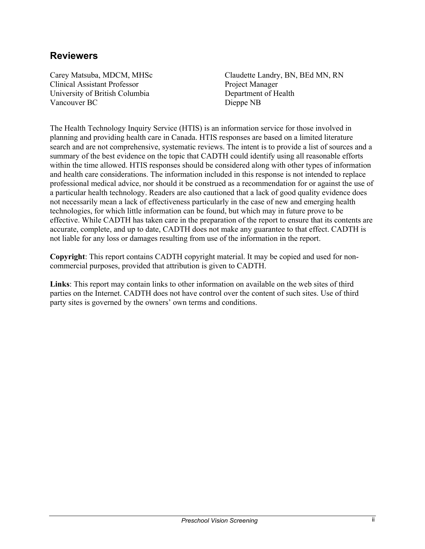#### **Reviewers**

Carey Matsuba, MDCM, MHSc Clinical Assistant Professor University of British Columbia Vancouver BC

Claudette Landry, BN, BEd MN, RN Project Manager Department of Health Dieppe NB

The Health Technology Inquiry Service (HTIS) is an information service for those involved in planning and providing health care in Canada. HTIS responses are based on a limited literature search and are not comprehensive, systematic reviews. The intent is to provide a list of sources and a summary of the best evidence on the topic that CADTH could identify using all reasonable efforts within the time allowed. HTIS responses should be considered along with other types of information and health care considerations. The information included in this response is not intended to replace professional medical advice, nor should it be construed as a recommendation for or against the use of a particular health technology. Readers are also cautioned that a lack of good quality evidence does not necessarily mean a lack of effectiveness particularly in the case of new and emerging health technologies, for which little information can be found, but which may in future prove to be effective. While CADTH has taken care in the preparation of the report to ensure that its contents are accurate, complete, and up to date, CADTH does not make any guarantee to that effect. CADTH is not liable for any loss or damages resulting from use of the information in the report.

**Copyright**: This report contains CADTH copyright material. It may be copied and used for noncommercial purposes, provided that attribution is given to CADTH.

**Links**: This report may contain links to other information on available on the web sites of third parties on the Internet. CADTH does not have control over the content of such sites. Use of third party sites is governed by the owners' own terms and conditions.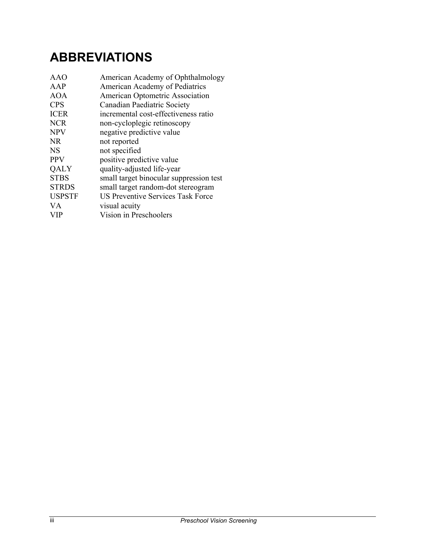# **ABBREVIATIONS**

| AAO           | American Academy of Ophthalmology        |
|---------------|------------------------------------------|
| AAP           | American Academy of Pediatrics           |
| <b>AOA</b>    | American Optometric Association          |
| <b>CPS</b>    | Canadian Paediatric Society              |
| <b>ICER</b>   | incremental cost-effectiveness ratio     |
| <b>NCR</b>    | non-cycloplegic retinoscopy              |
| <b>NPV</b>    | negative predictive value                |
| <b>NR</b>     | not reported                             |
| <b>NS</b>     | not specified                            |
| <b>PPV</b>    | positive predictive value                |
| <b>QALY</b>   | quality-adjusted life-year               |
| <b>STBS</b>   | small target binocular suppression test  |
| <b>STRDS</b>  | small target random-dot stereogram       |
| <b>USPSTF</b> | <b>US Preventive Services Task Force</b> |
| <b>VA</b>     | visual acuity                            |
| <b>VIP</b>    | Vision in Preschoolers                   |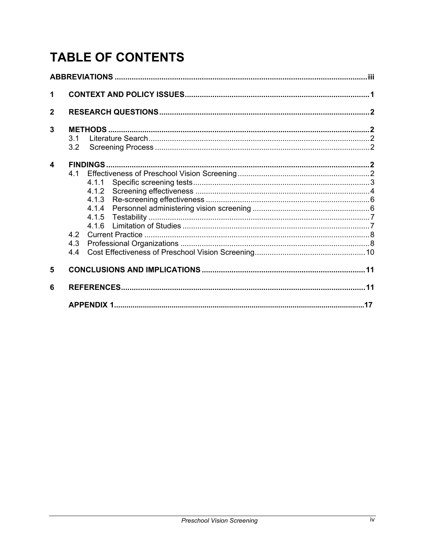# **TABLE OF CONTENTS**

| 1                |                                            |  |  |  |  |  |
|------------------|--------------------------------------------|--|--|--|--|--|
| $\mathbf{2}$     |                                            |  |  |  |  |  |
| 3                | 31<br>3.2                                  |  |  |  |  |  |
| $\boldsymbol{4}$ | 4.1.1<br>4.1.2<br>416<br>4.2<br>4.3<br>4.4 |  |  |  |  |  |
| 5                |                                            |  |  |  |  |  |
| 6                |                                            |  |  |  |  |  |
|                  | .17                                        |  |  |  |  |  |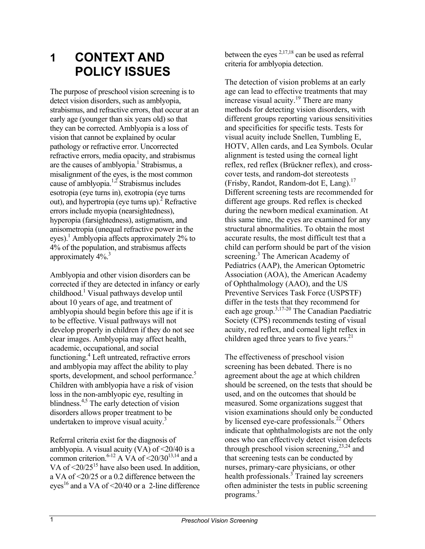### **1 CONTEXT AND POLICY ISSUES**

The purpose of preschool vision screening is to detect vision disorders, such as amblyopia, strabismus, and refractive errors, that occur at an early age (younger than six years old) so that they can be corrected. Amblyopia is a loss of vision that cannot be explained by ocular pathology or refractive error. Uncorrected refractive errors, media opacity, and strabismus are the causes of amblyopia.<sup>1</sup> Strabismus, a misalignment of the eyes, is the most common cause of amblyopia.<sup>1,2</sup> Strabismus includes esotropia (eye turns in), exotropia (eye turns out), and hypertropia (eye turns up).<sup>2</sup> Refractive errors include myopia (nearsightedness), hyperopia (farsightedness), astigmatism, and anisometropia (unequal refractive power in the eyes).<sup>1</sup> Amblyopia affects approximately 2% to 4% of the population, and strabismus affects approximately 4%.<sup>3</sup>

Amblyopia and other vision disorders can be corrected if they are detected in infancy or early childhood.<sup>1</sup> Visual pathways develop until about 10 years of age, and treatment of amblyopia should begin before this age if it is to be effective. Visual pathways will not develop properly in children if they do not see clear images. Amblyopia may affect health, academic, occupational, and social functioning.<sup>4</sup> Left untreated, refractive errors and amblyopia may affect the ability to play sports, development, and school performance.<sup>5</sup> Children with amblyopia have a risk of vision loss in the non-amblyopic eye, resulting in blindness.<sup>4,5</sup> The early detection of vision disorders allows proper treatment to be undertaken to improve visual acuity.<sup>3</sup>

Referral criteria exist for the diagnosis of amblyopia. A visual acuity  $(VA)$  of  $\leq$ 20/40 is a common criterion.<sup>6-12</sup> A VA of  $\leq$ 20/30<sup>13,14</sup> and a VA of  $\leq 20/25^{15}$  have also been used. In addition, a VA of <20/25 or a 0.2 difference between the eyes<sup>16</sup> and a VA of  $\leq$ 20/40 or a 2-line difference

between the eyes  $2,17,18$  can be used as referral criteria for amblyopia detection.

The detection of vision problems at an early age can lead to effective treatments that may increase visual acuity.19 There are many methods for detecting vision disorders, with different groups reporting various sensitivities and specificities for specific tests. Tests for visual acuity include Snellen, Tumbling E, HOTV, Allen cards, and Lea Symbols. Ocular alignment is tested using the corneal light reflex, red reflex (Brückner reflex), and crosscover tests, and random-dot stereotests (Frisby, Randot, Random-dot E, Lang).17 Different screening tests are recommended for different age groups. Red reflex is checked during the newborn medical examination. At this same time, the eyes are examined for any structural abnormalities. To obtain the most accurate results, the most difficult test that a child can perform should be part of the vision screening.<sup>3</sup> The American Academy of Pediatrics (AAP), the American Optometric Association (AOA), the American Academy of Ophthalmology (AAO), and the US Preventive Services Task Force (USPSTF) differ in the tests that they recommend for each age group.3,17-20 The Canadian Paediatric Society (CPS) recommends testing of visual acuity, red reflex, and corneal light reflex in children aged three years to five years. $^{21}$ 

The effectiveness of preschool vision screening has been debated. There is no agreement about the age at which children should be screened, on the tests that should be used, and on the outcomes that should be measured. Some organizations suggest that vision examinations should only be conducted by licensed eye-care professionals.<sup>22</sup> Others indicate that ophthalmologists are not the only ones who can effectively detect vision defects through preschool vision screening,  $2^{3,24}$  and that screening tests can be conducted by nurses, primary-care physicians, or other health professionals.<sup>3</sup> Trained lay screeners often administer the tests in public screening programs. $3$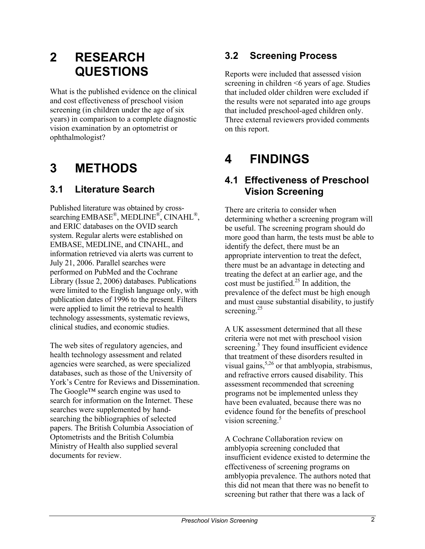# **2 RESEARCH QUESTIONS**

What is the published evidence on the clinical and cost effectiveness of preschool vision screening (in children under the age of six years) in comparison to a complete diagnostic vision examination by an optometrist or ophthalmologist?

## **3 METHODS**

#### **3.1 Literature Search**

Published literature was obtained by crosssearching EMBASE®, MEDLINE®, CINAHL®, and ERIC databases on the OVID search system. Regular alerts were established on EMBASE, MEDLINE, and CINAHL, and information retrieved via alerts was current to July 21, 2006. Parallel searches were performed on PubMed and the Cochrane Library (Issue 2, 2006) databases. Publications were limited to the English language only, with publication dates of 1996 to the present. Filters were applied to limit the retrieval to health technology assessments, systematic reviews, clinical studies, and economic studies.

The web sites of regulatory agencies, and health technology assessment and related agencies were searched, as were specialized databases, such as those of the University of York's Centre for Reviews and Dissemination. The Google™ search engine was used to search for information on the Internet. These searches were supplemented by handsearching the bibliographies of selected papers. The British Columbia Association of Optometrists and the British Columbia Ministry of Health also supplied several documents for review.

#### **3.2 Screening Process**

Reports were included that assessed vision screening in children <6 years of age. Studies that included older children were excluded if the results were not separated into age groups that included preschool-aged children only. Three external reviewers provided comments on this report.

## **4 FINDINGS**

#### **4.1 Effectiveness of Preschool Vision Screening**

There are criteria to consider when determining whether a screening program will be useful. The screening program should do more good than harm, the tests must be able to identify the defect, there must be an appropriate intervention to treat the defect, there must be an advantage in detecting and treating the defect at an earlier age, and the cost must be justified.<sup>25</sup> In addition, the prevalence of the defect must be high enough and must cause substantial disability, to justify screening.<sup>25</sup>

A UK assessment determined that all these criteria were not met with preschool vision screening.<sup>5</sup> They found insufficient evidence that treatment of these disorders resulted in visual gains,  $5,26$  or that amblyopia, strabismus, and refractive errors caused disability. This assessment recommended that screening programs not be implemented unless they have been evaluated, because there was no evidence found for the benefits of preschool vision screening.<sup>5</sup>

A Cochrane Collaboration review on amblyopia screening concluded that insufficient evidence existed to determine the effectiveness of screening programs on amblyopia prevalence. The authors noted that this did not mean that there was no benefit to screening but rather that there was a lack of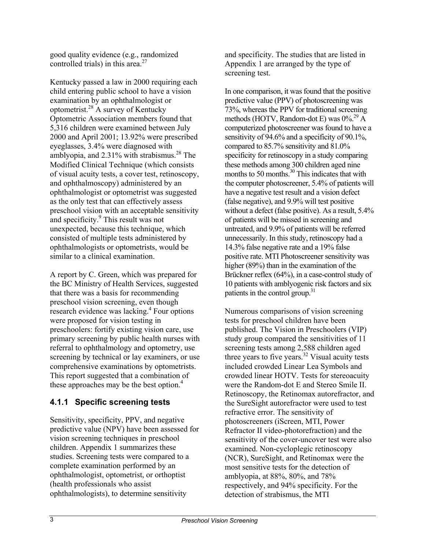good quality evidence (e.g., randomized controlled trials) in this area. $27$ 

Kentucky passed a law in 2000 requiring each child entering public school to have a vision examination by an ophthalmologist or optometrist.28 A survey of Kentucky Optometric Association members found that 5,316 children were examined between July 2000 and April 2001; 13.92% were prescribed eyeglasses, 3.4% were diagnosed with amblyopia, and  $2.31\%$  with strabismus.<sup>28</sup> The Modified Clinical Technique (which consists of visual acuity tests, a cover test, retinoscopy, and ophthalmoscopy) administered by an ophthalmologist or optometrist was suggested as the only test that can effectively assess preschool vision with an acceptable sensitivity and specificity.<sup>9</sup> This result was not unexpected, because this technique, which consisted of multiple tests administered by ophthalmologists or optometrists, would be similar to a clinical examination.

A report by C. Green, which was prepared for the BC Ministry of Health Services, suggested that there was a basis for recommending preschool vision screening, even though research evidence was lacking.<sup>4</sup> Four options were proposed for vision testing in preschoolers: fortify existing vision care, use primary screening by public health nurses with referral to ophthalmology and optometry, use screening by technical or lay examiners, or use comprehensive examinations by optometrists. This report suggested that a combination of these approaches may be the best option.<sup>4</sup>

#### **4.1.1 Specific screening tests**

Sensitivity, specificity, PPV, and negative predictive value (NPV) have been assessed for vision screening techniques in preschool children. Appendix 1 summarizes these studies. Screening tests were compared to a complete examination performed by an ophthalmologist, optometrist, or orthoptist (health professionals who assist ophthalmologists), to determine sensitivity

and specificity. The studies that are listed in Appendix 1 are arranged by the type of screening test.

In one comparison, it was found that the positive predictive value (PPV) of photoscreening was 73%, whereas the PPV for traditional screening methods (HOTV, Random-dot E) was  $0\%^{29}$  A computerized photoscreener was found to have a sensitivity of 94.6% and a specificity of 90.1%, compared to 85.7% sensitivity and 81.0% specificity for retinoscopy in a study comparing these methods among 300 children aged nine months to 50 months. $30$  This indicates that with the computer photoscreener, 5.4% of patients will have a negative test result and a vision defect (false negative), and 9.9% will test positive without a defect (false positive). As a result, 5.4% of patients will be missed in screening and untreated, and 9.9% of patients will be referred unnecessarily. In this study, retinoscopy had a 14.3% false negative rate and a 19% false positive rate. MTI Photoscreener sensitivity was higher (89%) than in the examination of the Brückner reflex (64%), in a case-control study of 10 patients with amblyogenic risk factors and six patients in the control group. $31$ 

Numerous comparisons of vision screening tests for preschool children have been published. The Vision in Preschoolers (VIP) study group compared the sensitivities of 11 screening tests among 2,588 children aged three years to five years.<sup>32</sup> Visual acuity tests included crowded Linear Lea Symbols and crowded linear HOTV. Tests for stereoacuity were the Random-dot E and Stereo Smile II. Retinoscopy, the Retinomax autorefractor, and the SureSight autorefractor were used to test refractive error. The sensitivity of photoscreeners (iScreen, MTI, Power Refractor II video-photorefraction) and the sensitivity of the cover-uncover test were also examined. Non-cycloplegic retinoscopy (NCR), SureSight, and Retinomax were the most sensitive tests for the detection of amblyopia, at 88%, 80%, and 78% respectively, and 94% specificity. For the detection of strabismus, the MTI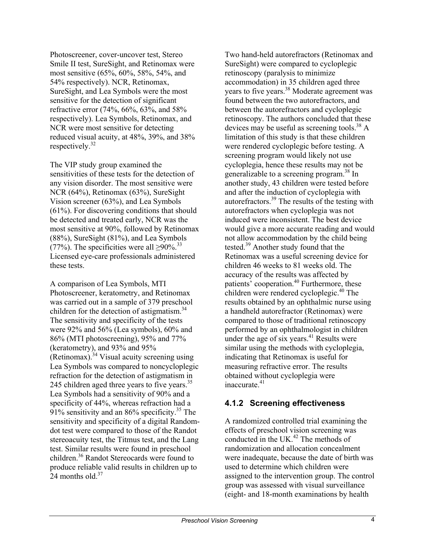Photoscreener, cover-uncover test, Stereo Smile II test, SureSight, and Retinomax were most sensitive (65%, 60%, 58%, 54%, and 54% respectively). NCR, Retinomax, SureSight, and Lea Symbols were the most sensitive for the detection of significant refractive error (74%, 66%, 63%, and 58% respectively). Lea Symbols, Retinomax, and NCR were most sensitive for detecting reduced visual acuity, at 48%, 39%, and 38% respectively.32

The VIP study group examined the sensitivities of these tests for the detection of any vision disorder. The most sensitive were NCR (64%), Retinomax (63%), SureSight Vision screener (63%), and Lea Symbols (61%). For discovering conditions that should be detected and treated early, NCR was the most sensitive at 90%, followed by Retinomax (88%), SureSight (81%), and Lea Symbols (77%). The specificities were all  $\geq 90\%$ .<sup>33</sup> Licensed eye-care professionals administered these tests.

A comparison of Lea Symbols, MTI Photoscreener, keratometry, and Retinomax was carried out in a sample of 379 preschool children for the detection of astigmatism.<sup>34</sup> The sensitivity and specificity of the tests were 92% and 56% (Lea symbols), 60% and 86% (MTI photoscreening), 95% and 77% (keratometry), and 93% and 95% (Retinomax).<sup>34</sup> Visual acuity screening using Lea Symbols was compared to noncycloplegic refraction for the detection of astigmatism in 245 children aged three years to five years.<sup>35</sup> Lea Symbols had a sensitivity of 90% and a specificity of 44%, whereas refraction had a  $91\%$  sensitivity and an 86% specificity.<sup>35</sup> The sensitivity and specificity of a digital Randomdot test were compared to those of the Randot stereoacuity test, the Titmus test, and the Lang test. Similar results were found in preschool children.36 Randot Stereocards were found to produce reliable valid results in children up to 24 months old  $37$ 

Two hand-held autorefractors (Retinomax and SureSight) were compared to cycloplegic retinoscopy (paralysis to minimize accommodation) in 35 children aged three years to five years.<sup>38</sup> Moderate agreement was found between the two autorefractors, and between the autorefractors and cycloplegic retinoscopy. The authors concluded that these devices may be useful as screening tools.<sup>38</sup> A limitation of this study is that these children were rendered cycloplegic before testing. A screening program would likely not use cycloplegia, hence these results may not be generalizable to a screening program.<sup>38</sup> In another study, 43 children were tested before and after the induction of cycloplegia with autorefractors.39 The results of the testing with autorefractors when cycloplegia was not induced were inconsistent. The best device would give a more accurate reading and would not allow accommodation by the child being tested.<sup>39</sup> Another study found that the Retinomax was a useful screening device for children 46 weeks to 81 weeks old. The accuracy of the results was affected by patients' cooperation.<sup>40</sup> Furthermore, these children were rendered cycloplegic.<sup>40</sup> The results obtained by an ophthalmic nurse using a handheld autorefractor (Retinomax) were compared to those of traditional retinoscopy performed by an ophthalmologist in children under the age of six years. $41$  Results were similar using the methods with cycloplegia, indicating that Retinomax is useful for measuring refractive error. The results obtained without cycloplegia were inaccurate $41$ 

#### **4.1.2 Screening effectiveness**

A randomized controlled trial examining the effects of preschool vision screening was conducted in the UK $^{42}$  The methods of randomization and allocation concealment were inadequate, because the date of birth was used to determine which children were assigned to the intervention group. The control group was assessed with visual surveillance (eight- and 18-month examinations by health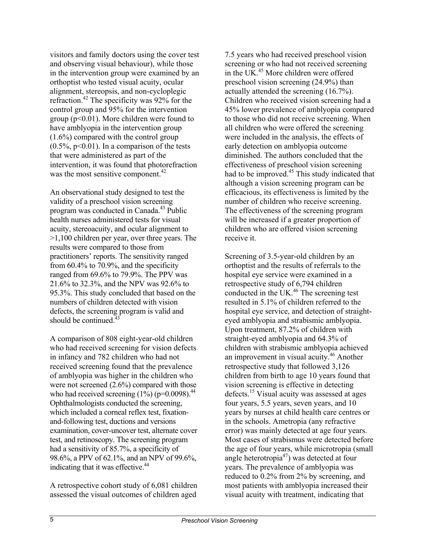visitors and family doctors using the cover test and observing visual behaviour), while those in the intervention group were examined by an orthoptist who tested visual acuity, ocular alignment, stereopsis, and non-cycloplegic refraction.42 The specificity was 92% for the control group and 95% for the intervention group ( $p<0.01$ ). More children were found to have amblyopia in the intervention group (1.6%) compared with the control group  $(0.5\% \text{, } p<0.01)$ . In a comparison of the tests that were administered as part of the intervention, it was found that photorefraction was the most sensitive component. $42$ 

An observational study designed to test the validity of a preschool vision screening program was conducted in Canada.43 Public health nurses administered tests for visual acuity, stereoacuity, and ocular alignment to >1,100 children per year, over three years. The results were compared to those from practitioners' reports. The sensitivity ranged from 60.4% to 70.9%, and the specificity ranged from 69.6% to 79.9%. The PPV was 21.6% to 32.3%, and the NPV was 92.6% to 95.3%. This study concluded that based on the numbers of children detected with vision defects, the screening program is valid and should be continued. $43$ 

A comparison of 808 eight-year-old children who had received screening for vision defects in infancy and 782 children who had not received screening found that the prevalence of amblyopia was higher in the children who were not screened  $(2.6\%)$  compared with those who had received screening  $(1\%)$  (p=0.0098).<sup>44</sup> Ophthalmologists conducted the screening, which included a corneal reflex test, fixationand-following test, ductions and versions examination, cover-uncover test, alternate cover test, and retinoscopy. The screening program had a sensitivity of 85.7%, a specificity of 98.6%, a PPV of 62.1%, and an NPV of 99.6%, indicating that it was effective.<sup>44</sup>

A retrospective cohort study of 6,081 children assessed the visual outcomes of children aged

7.5 years who had received preschool vision screening or who had not received screening in the UK.45 More children were offered preschool vision screening (24.9%) than actually attended the screening (16.7%). Children who received vision screening had a 45% lower prevalence of amblyopia compared to those who did not receive screening. When all children who were offered the screening were included in the analysis, the effects of early detection on amblyopia outcome diminished. The authors concluded that the effectiveness of preschool vision screening had to be improved.<sup>45</sup> This study indicated that although a vision screening program can be efficacious, its effectiveness is limited by the number of children who receive screening. The effectiveness of the screening program will be increased if a greater proportion of children who are offered vision screening receive it.

Screening of 3.5-year-old children by an orthoptist and the results of referrals to the hospital eye service were examined in a retrospective study of 6,794 children conducted in the UK.<sup>46</sup> The screening test resulted in 5.1% of children referred to the hospital eye service, and detection of straighteyed amblyopia and strabismic amblyopia. Upon treatment, 87.2% of children with straight-eyed amblyopia and 64.3% of children with strabismic amblyopia achieved an improvement in visual acuity. $46$  Another retrospective study that followed 3,126 children from birth to age 10 years found that vision screening is effective in detecting defects.15 Visual acuity was assessed at ages four years, 5.5 years, seven years, and 10 years by nurses at child health care centres or in the schools. Ametropia (any refractive error) was mainly detected at age four years. Most cases of strabismus were detected before the age of four years, while microtropia (small angle heterotropia<sup>47</sup>) was detected at four years. The prevalence of amblyopia was reduced to 0.2% from 2% by screening, and most patients with amblyopia increased their visual acuity with treatment, indicating that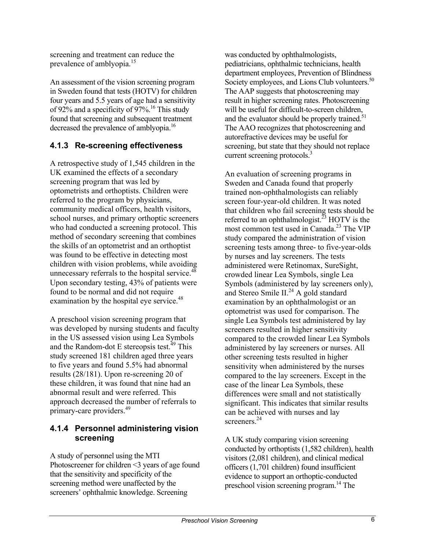screening and treatment can reduce the prevalence of amblyopia.<sup>15</sup>

An assessment of the vision screening program in Sweden found that tests (HOTV) for children four years and 5.5 years of age had a sensitivity of 92% and a specificity of 97%.<sup>16</sup> This study found that screening and subsequent treatment decreased the prevalence of amblyopia.<sup>16</sup>

#### **4.1.3 Re-screening effectiveness**

A retrospective study of 1,545 children in the UK examined the effects of a secondary screening program that was led by optometrists and orthoptists. Children were referred to the program by physicians, community medical officers, health visitors, school nurses, and primary orthoptic screeners who had conducted a screening protocol. This method of secondary screening that combines the skills of an optometrist and an orthoptist was found to be effective in detecting most children with vision problems, while avoiding unnecessary referrals to the hospital service.<sup>48</sup> Upon secondary testing, 43% of patients were found to be normal and did not require examination by the hospital eye service.<sup>48</sup>

A preschool vision screening program that was developed by nursing students and faculty in the US assessed vision using Lea Symbols and the Random-dot E stereopsis test.<sup>49</sup> This study screened 181 children aged three years to five years and found 5.5% had abnormal results (28/181). Upon re-screening 20 of these children, it was found that nine had an abnormal result and were referred. This approach decreased the number of referrals to primary-care providers.<sup>49</sup>

#### **4.1.4 Personnel administering vision screening**

A study of personnel using the MTI Photoscreener for children <3 years of age found that the sensitivity and specificity of the screening method were unaffected by the screeners' ophthalmic knowledge. Screening

was conducted by ophthalmologists, pediatricians, ophthalmic technicians, health department employees, Prevention of Blindness Society employees, and Lions Club volunteers.<sup>50</sup> The AAP suggests that photoscreening may result in higher screening rates. Photoscreening will be useful for difficult-to-screen children, and the evaluator should be properly trained.<sup>51</sup> The AAO recognizes that photoscreening and autorefractive devices may be useful for screening, but state that they should not replace current screening protocols.<sup>3</sup>

An evaluation of screening programs in Sweden and Canada found that properly trained non-ophthalmologists can reliably screen four-year-old children. It was noted that children who fail screening tests should be referred to an ophthalmologist.<sup>23</sup> HOTV is the most common test used in Canada.<sup>23</sup> The VIP study compared the administration of vision screening tests among three- to five-year-olds by nurses and lay screeners. The tests administered were Retinomax, SureSight, crowded linear Lea Symbols, single Lea Symbols (administered by lay screeners only), and Stereo Smile II.<sup>24</sup> A gold standard examination by an ophthalmologist or an optometrist was used for comparison. The single Lea Symbols test administered by lay screeners resulted in higher sensitivity compared to the crowded linear Lea Symbols administered by lay screeners or nurses. All other screening tests resulted in higher sensitivity when administered by the nurses compared to the lay screeners. Except in the case of the linear Lea Symbols, these differences were small and not statistically significant. This indicates that similar results can be achieved with nurses and lay screeners<sup>24</sup>

A UK study comparing vision screening conducted by orthoptists (1,582 children), health visitors (2,081 children), and clinical medical officers (1,701 children) found insufficient evidence to support an orthoptic-conducted preschool vision screening program.14 The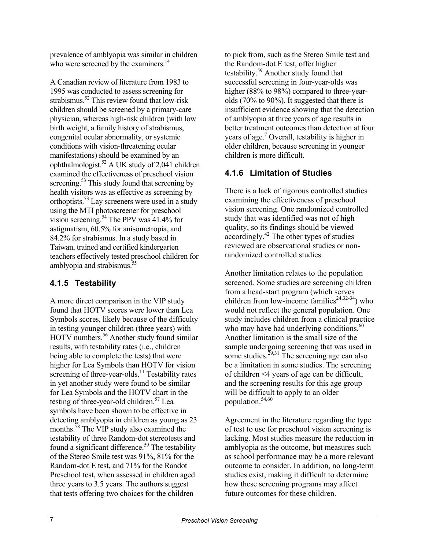prevalence of amblyopia was similar in children who were screened by the examiners.<sup>14</sup>

A Canadian review of literature from 1983 to 1995 was conducted to assess screening for strabismus.<sup>52</sup> This review found that low-risk children should be screened by a primary-care physician, whereas high-risk children (with low birth weight, a family history of strabismus, congenital ocular abnormality, or systemic conditions with vision-threatening ocular manifestations) should be examined by an ophthalmologist.<sup>52</sup> A UK study of 2,041 children examined the effectiveness of preschool vision screening.<sup>53</sup> This study found that screening by health visitors was as effective as screening by orthoptists.53 Lay screeners were used in a study using the MTI photoscreener for preschool vision screening.<sup>54</sup> The PPV was 41.4% for astigmatism, 60.5% for anisometropia, and 84.2% for strabismus. In a study based in Taiwan, trained and certified kindergarten teachers effectively tested preschool children for amblyopia and strabismus. $55$ 

#### **4.1.5 Testability**

A more direct comparison in the VIP study found that HOTV scores were lower than Lea Symbols scores, likely because of the difficulty in testing younger children (three years) with HOTV numbers.<sup>56</sup> Another study found similar results, with testability rates (i.e., children being able to complete the tests) that were higher for Lea Symbols than HOTV for vision screening of three-year-olds.<sup>11</sup> Testability rates in yet another study were found to be similar for Lea Symbols and the HOTV chart in the testing of three-year-old children.<sup>57</sup> Lea symbols have been shown to be effective in detecting amblyopia in children as young as 23 months.<sup>58</sup> The VIP study also examined the testability of three Random-dot stereotests and found a significant difference.<sup>59</sup> The testability of the Stereo Smile test was 91%, 81% for the Random-dot E test, and 71% for the Randot Preschool test, when assessed in children aged three years to 3.5 years. The authors suggest that tests offering two choices for the children

to pick from, such as the Stereo Smile test and the Random-dot E test, offer higher testability.59 Another study found that successful screening in four-year-olds was higher (88% to 98%) compared to three-yearolds (70% to 90%). It suggested that there is insufficient evidence showing that the detection of amblyopia at three years of age results in better treatment outcomes than detection at four years of age.<sup>7</sup> Overall, testability is higher in older children, because screening in younger children is more difficult.

#### **4.1.6 Limitation of Studies**

There is a lack of rigorous controlled studies examining the effectiveness of preschool vision screening. One randomized controlled study that was identified was not of high quality, so its findings should be viewed accordingly. $^{42}$  The other types of studies reviewed are observational studies or nonrandomized controlled studies.

Another limitation relates to the population screened. Some studies are screening children from a head-start program (which serves children from low-income families<sup>24,32-34</sup>) who would not reflect the general population. One study includes children from a clinical practice who may have had underlying conditions. $60$ Another limitation is the small size of the sample undergoing screening that was used in some studies.<sup>29,31</sup> The screening age can also be a limitation in some studies. The screening of children <4 years of age can be difficult, and the screening results for this age group will be difficult to apply to an older population.54,60

Agreement in the literature regarding the type of test to use for preschool vision screening is lacking. Most studies measure the reduction in amblyopia as the outcome, but measures such as school performance may be a more relevant outcome to consider. In addition, no long-term studies exist, making it difficult to determine how these screening programs may affect future outcomes for these children.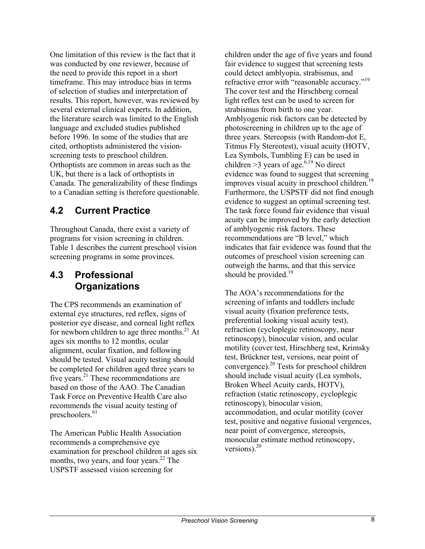One limitation of this review is the fact that it was conducted by one reviewer, because of the need to provide this report in a short timeframe. This may introduce bias in terms of selection of studies and interpretation of results. This report, however, was reviewed by several external clinical experts. In addition, the literature search was limited to the English language and excluded studies published before 1996. In some of the studies that are cited, orthoptists administered the visionscreening tests to preschool children. Orthoptists are common in areas such as the UK, but there is a lack of orthoptists in Canada. The generalizability of these findings to a Canadian setting is therefore questionable.

#### **4.2 Current Practice**

Throughout Canada, there exist a variety of programs for vision screening in children. Table 1 describes the current preschool vision screening programs in some provinces.

#### **4.3 Professional Organizations**

The CPS recommends an examination of external eye structures, red reflex, signs of posterior eye disease, and corneal light reflex for newborn children to age three months. $^{21}$  At ages six months to 12 months, ocular alignment, ocular fixation, and following should be tested. Visual acuity testing should be completed for children aged three years to five years.<sup>21</sup> These recommendations are based on those of the AAO. The Canadian Task Force on Preventive Health Care also recommends the visual acuity testing of preschoolers. $61$ 

The American Public Health Association recommends a comprehensive eye examination for preschool children at ages six months, two years, and four years.<sup>22</sup> The USPSTF assessed vision screening for

children under the age of five years and found fair evidence to suggest that screening tests could detect amblyopia, strabismus, and refractive error with "reasonable accuracy."<sup>19</sup> The cover test and the Hirschberg corneal light reflex test can be used to screen for strabismus from birth to one year. Amblyogenic risk factors can be detected by photoscreening in children up to the age of three years. Stereopsis (with Random-dot E, Titmus Fly Stereotest), visual acuity (HOTV, Lea Symbols, Tumbling E) can be used in children >3 years of age.<sup>6,19</sup> No direct evidence was found to suggest that screening improves visual acuity in preschool children.<sup>19</sup> Furthermore, the USPSTF did not find enough evidence to suggest an optimal screening test. The task force found fair evidence that visual acuity can be improved by the early detection of amblyogenic risk factors. These recommendations are "B level," which indicates that fair evidence was found that the outcomes of preschool vision screening can outweigh the harms, and that this service should be provided.<sup>19</sup>

The AOA's recommendations for the screening of infants and toddlers include visual acuity (fixation preference tests, preferential looking visual acuity test), refraction (cycloplegic retinoscopy, near retinoscopy), binocular vision, and ocular motility (cover test, Hirschberg test, Krimsky test, Brückner test, versions, near point of convergence).20 Tests for preschool children should include visual acuity (Lea symbols, Broken Wheel Acuity cards, HOTV), refraction (static retinoscopy, cycloplegic retinoscopy), binocular vision, accommodation, and ocular motility (cover test, positive and negative fusional vergences, near point of convergence, stereopsis, monocular estimate method retinoscopy, versions). $20$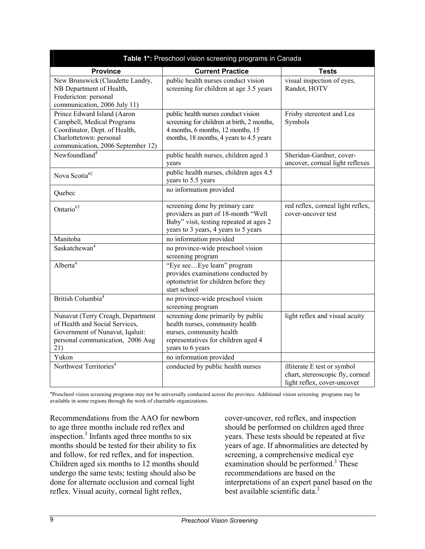| Table 1*: Preschool vision screening programs in Canada                                                                                                    |                                                                                                                                                                   |                                                                                                |  |  |  |  |  |
|------------------------------------------------------------------------------------------------------------------------------------------------------------|-------------------------------------------------------------------------------------------------------------------------------------------------------------------|------------------------------------------------------------------------------------------------|--|--|--|--|--|
| <b>Province</b>                                                                                                                                            | <b>Current Practice</b>                                                                                                                                           | <b>Tests</b>                                                                                   |  |  |  |  |  |
| New Brunswick (Claudette Landry,<br>NB Department of Health,<br>Fredericton: personal<br>communication, 2006 July 11)                                      | public health nurses conduct vision<br>screening for children at age 3.5 years                                                                                    | visual inspection of eyes,<br>Randot, HOTV                                                     |  |  |  |  |  |
| Prince Edward Island (Aaron<br>Campbell, Medical Programs<br>Coordinator, Dept. of Health,<br>Charlottetown: personal<br>communication, 2006 September 12) | public health nurses conduct vision<br>screening for children at birth, 2 months,<br>4 months, 6 months, 12 months, 15<br>months, 18 months, 4 years to 4.5 years | Frisby stereotest and Lea<br>Symbols                                                           |  |  |  |  |  |
| Newfoundland <sup>4</sup>                                                                                                                                  | public health nurses, children aged 3<br>vears                                                                                                                    | Sheridan-Gardner, cover-<br>uncover, corneal light reflexes                                    |  |  |  |  |  |
| Nova Scotia <sup>62</sup>                                                                                                                                  | public health nurses, children ages 4.5<br>years to 5.5 years                                                                                                     |                                                                                                |  |  |  |  |  |
| Quebec                                                                                                                                                     | no information provided                                                                                                                                           |                                                                                                |  |  |  |  |  |
| Ontario <sup>63</sup>                                                                                                                                      | screening done by primary care<br>providers as part of 18-month "Well<br>Baby" visit, testing repeated at ages 2<br>years to 3 years, 4 years to 5 years          | red reflex, corneal light reflex,<br>cover-uncover test                                        |  |  |  |  |  |
| Manitoba                                                                                                                                                   | no information provided                                                                                                                                           |                                                                                                |  |  |  |  |  |
| Saskatchewan <sup>4</sup>                                                                                                                                  | no province-wide preschool vision<br>screening program                                                                                                            |                                                                                                |  |  |  |  |  |
| Alberta <sup>4</sup>                                                                                                                                       | "Eye seeEye learn" program<br>provides examinations conducted by<br>optometrist for children before they<br>start school                                          |                                                                                                |  |  |  |  |  |
| British Columbia <sup>4</sup>                                                                                                                              | no province-wide preschool vision<br>screening program                                                                                                            |                                                                                                |  |  |  |  |  |
| Nunavut (Terry Creagh, Department<br>of Health and Social Services,<br>Government of Nunavut, Iqaluit:<br>personal communication, 2006 Aug<br>21)          | screening done primarily by public<br>health nurses, community health<br>nurses, community health<br>representatives for children aged 4<br>years to 6 years      | light reflex and visual acuity                                                                 |  |  |  |  |  |
| Yukon                                                                                                                                                      | no information provided                                                                                                                                           |                                                                                                |  |  |  |  |  |
| Northwest Territories <sup>4</sup>                                                                                                                         | conducted by public health nurses                                                                                                                                 | illiterate E test or symbol<br>chart, stereoscopic fly, corneal<br>light reflex, cover-uncover |  |  |  |  |  |

\*Preschool vision screening programs may not be universally conducted across the province. Additional vision screening programs may be available in some regions through the work of charitable organizations.

Recommendations from the AAO for newborn to age three months include red reflex and inspection.<sup>3</sup> Infants aged three months to six months should be tested for their ability to fix and follow, for red reflex, and for inspection. Children aged six months to 12 months should undergo the same tests; testing should also be done for alternate occlusion and corneal light reflex. Visual acuity, corneal light reflex,

cover-uncover, red reflex, and inspection should be performed on children aged three years. These tests should be repeated at five years of age. If abnormalities are detected by screening, a comprehensive medical eye examination should be performed.<sup>3</sup> These recommendations are based on the interpretations of an expert panel based on the best available scientific data. $3$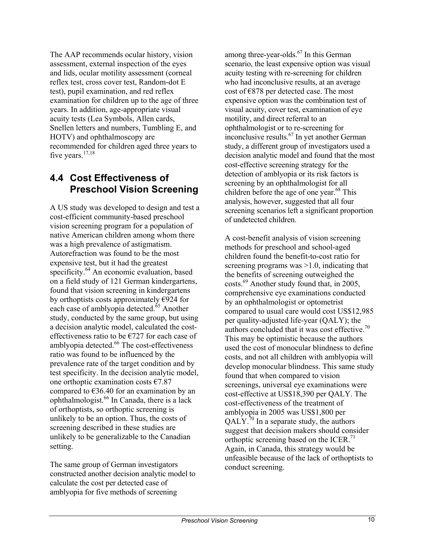The AAP recommends ocular history, vision assessment, external inspection of the eyes and lids, ocular motility assessment (corneal reflex test, cross cover test, Random-dot E test), pupil examination, and red reflex examination for children up to the age of three years. In addition, age-appropriate visual acuity tests (Lea Symbols, Allen cards, Snellen letters and numbers, Tumbling E, and HOTV) and ophthalmoscopy are recommended for children aged three years to five years. $17,18$ 

#### **4.4 Cost Effectiveness of Preschool Vision Screening**

A US study was developed to design and test a cost-efficient community-based preschool vision screening program for a population of native American children among whom there was a high prevalence of astigmatism. Autorefraction was found to be the most expensive test, but it had the greatest specificity.<sup>64</sup> An economic evaluation, based on a field study of 121 German kindergartens, found that vision screening in kindergartens by orthoptists costs approximately  $E924$  for each case of amblyopia detected.<sup>65</sup> Another study, conducted by the same group, but using a decision analytic model, calculated the costeffectiveness ratio to be €727 for each case of amblyopia detected.<sup>66</sup> The cost-effectiveness ratio was found to be influenced by the prevalence rate of the target condition and by test specificity. In the decision analytic model, one orthoptic examination costs  $€7.87$ compared to  $\epsilon$ 36.40 for an examination by an ophthalmologist.66 In Canada, there is a lack of orthoptists, so orthoptic screening is unlikely to be an option. Thus, the costs of screening described in these studies are unlikely to be generalizable to the Canadian setting.

The same group of German investigators constructed another decision analytic model to calculate the cost per detected case of amblyopia for five methods of screening

among three-year-olds. $67$  In this German scenario, the least expensive option was visual acuity testing with re-screening for children who had inconclusive results, at an average cost of €878 per detected case. The most expensive option was the combination test of visual acuity, cover test, examination of eye motility, and direct referral to an ophthalmologist or to re-screening for inconclusive results.67 In yet another German study, a different group of investigators used a decision analytic model and found that the most cost-effective screening strategy for the detection of amblyopia or its risk factors is screening by an ophthalmologist for all children before the age of one year.<sup>68</sup> This analysis, however, suggested that all four screening scenarios left a significant proportion of undetected children.

A cost-benefit analysis of vision screening methods for preschool and school-aged children found the benefit-to-cost ratio for screening programs was  $>1.0$ , indicating that the benefits of screening outweighed the costs.69 Another study found that, in 2005, comprehensive eye examinations conducted by an ophthalmologist or optometrist compared to usual care would cost US\$12,985 per quality-adjusted life-year (QALY); the authors concluded that it was cost effective.<sup>70</sup> This may be optimistic because the authors used the cost of monocular blindness to define costs, and not all children with amblyopia will develop monocular blindness. This same study found that when compared to vision screenings, universal eye examinations were cost-effective at US\$18,390 per QALY. The cost-effectiveness of the treatment of amblyopia in 2005 was US\$1,800 per  $QALY^{70}$  In a separate study, the authors suggest that decision makers should consider orthoptic screening based on the ICER.<sup>71</sup> Again, in Canada, this strategy would be unfeasible because of the lack of orthoptists to conduct screening.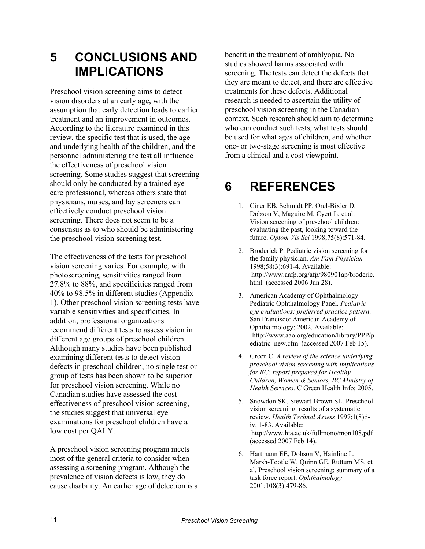### **5 CONCLUSIONS AND IMPLICATIONS**

Preschool vision screening aims to detect vision disorders at an early age, with the assumption that early detection leads to earlier treatment and an improvement in outcomes. According to the literature examined in this review, the specific test that is used, the age and underlying health of the children, and the personnel administering the test all influence the effectiveness of preschool vision screening. Some studies suggest that screening should only be conducted by a trained eyecare professional, whereas others state that physicians, nurses, and lay screeners can effectively conduct preschool vision screening. There does not seem to be a consensus as to who should be administering the preschool vision screening test.

The effectiveness of the tests for preschool vision screening varies. For example, with photoscreening, sensitivities ranged from 27.8% to 88%, and specificities ranged from 40% to 98.5% in different studies (Appendix 1). Other preschool vision screening tests have variable sensitivities and specificities. In addition, professional organizations recommend different tests to assess vision in different age groups of preschool children. Although many studies have been published examining different tests to detect vision defects in preschool children, no single test or group of tests has been shown to be superior for preschool vision screening. While no Canadian studies have assessed the cost effectiveness of preschool vision screening, the studies suggest that universal eye examinations for preschool children have a low cost per QALY.

A preschool vision screening program meets most of the general criteria to consider when assessing a screening program. Although the prevalence of vision defects is low, they do cause disability. An earlier age of detection is a benefit in the treatment of amblyopia. No studies showed harms associated with screening. The tests can detect the defects that they are meant to detect, and there are effective treatments for these defects. Additional research is needed to ascertain the utility of preschool vision screening in the Canadian context. Such research should aim to determine who can conduct such tests, what tests should be used for what ages of children, and whether one- or two-stage screening is most effective from a clinical and a cost viewpoint.

# **6 REFERENCES**

- 1. Ciner EB, Schmidt PP, Orel-Bixler D, Dobson V, Maguire M, Cyert L, et al. Vision screening of preschool children: evaluating the past, looking toward the future. *Optom Vis Sci* 1998;75(8):571-84.
- 2. Broderick P. Pediatric vision screening for the family physician. *Am Fam Physician* 1998;58(3):691-4. Available: http://www.aafp.org/afp/980901ap/broderic. html (accessed 2006 Jun 28).
- 3. American Academy of Ophthalmology Pediatric Ophthalmology Panel. *Pediatric eye evaluations: preferred practice pattern*. San Francisco: American Academy of Ophthalmology; 2002. Available: http://www.aao.org/education/library/PPP/p ediatric\_new.cfm (accessed 2007 Feb 15).
- 4. Green C. *A review of the science underlying preschool vision screening with implications for BC: report prepared for Healthy Children, Women & Seniors, BC Ministry of Health Services.* C Green Health Info; 2005.
- 5. Snowdon SK, Stewart-Brown SL. Preschool vision screening: results of a systematic review. *Health Technol Assess* 1997;1(8):iiv, 1-83. Available: http://www.hta.ac.uk/fullmono/mon108.pdf (accessed 2007 Feb 14).
- 6. Hartmann EE, Dobson V, Hainline L, Marsh-Tootle W, Quinn GE, Ruttum MS, et al. Preschool vision screening: summary of a task force report. *Ophthalmology* 2001;108(3):479-86.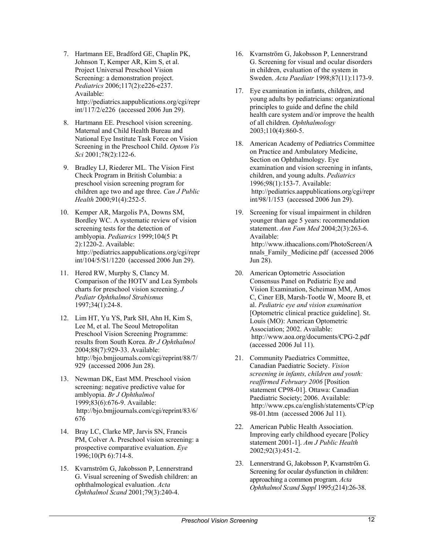- 7. Hartmann EE, Bradford GE, Chaplin PK, Johnson T, Kemper AR, Kim S, et al. Project Universal Preschool Vision Screening: a demonstration project. *Pediatrics* 2006;117(2):e226-e237. Available: http://pediatrics.aappublications.org/cgi/repr int/117/2/e226 (accessed 2006 Jun 29).
- 8. Hartmann EE. Preschool vision screening. Maternal and Child Health Bureau and National Eye Institute Task Force on Vision Screening in the Preschool Child. *Optom Vis Sci* 2001;78(2):122-6.
- 9. Bradley LJ, Riederer ML. The Vision First Check Program in British Columbia: a preschool vision screening program for children age two and age three. *Can J Public Health* 2000;91(4):252-5.
- 10. Kemper AR, Margolis PA, Downs SM, Bordley WC. A systematic review of vision screening tests for the detection of amblyopia. *Pediatrics* 1999;104(5 Pt 2):1220-2. Available: http://pediatrics.aappublications.org/cgi/repr int/104/5/S1/1220 (accessed 2006 Jun 29).
- 11. Hered RW, Murphy S, Clancy M. Comparison of the HOTV and Lea Symbols charts for preschool vision screening. *J Pediatr Ophthalmol Strabismus* 1997;34(1):24-8.
- 12. Lim HT, Yu YS, Park SH, Ahn H, Kim S, Lee M, et al. The Seoul Metropolitan Preschool Vision Screening Programme: results from South Korea. *Br J Ophthalmol* 2004;88(7):929-33. Available: http://bjo.bmjjournals.com/cgi/reprint/88/7/ 929 (accessed 2006 Jun 28).
- 13. Newman DK, East MM. Preschool vision screening: negative predictive value for amblyopia. *Br J Ophthalmol* 1999;83(6):676-9. Available: http://bjo.bmjjournals.com/cgi/reprint/83/6/ 676>>
- 14. Bray LC, Clarke MP, Jarvis SN, Francis PM, Colver A. Preschool vision screening: a prospective comparative evaluation. *Eye* 1996;10(Pt 6):714-8.
- 15. Kvarnström G, Jakobsson P, Lennerstrand G. Visual screening of Swedish children: an ophthalmological evaluation. *Acta Ophthalmol Scand* 2001;79(3):240-4.
- 16. Kvarnström G, Jakobsson P, Lennerstrand G. Screening for visual and ocular disorders in children, evaluation of the system in Sweden. *Acta Paediatr* 1998;87(11):1173-9.
- 17. Eye examination in infants, children, and young adults by pediatricians: organizational principles to guide and define the child health care system and/or improve the health of all children. *Ophthalmology* 2003;110(4):860-5.
- 18. American Academy of Pediatrics Committee on Practice and Ambulatory Medicine, Section on Ophthalmology. Eye examination and vision screening in infants, children, and young adults. *Pediatrics* 1996;98(1):153-7. Available: http://pediatrics.aappublications.org/cgi/repr int/98/1/153 (accessed 2006 Jun 29).
- 19. Screening for visual impairment in children younger than age 5 years: recommendation statement. *Ann Fam Med* 2004;2(3):263-6. Available: http://www.ithacalions.com/PhotoScreen/A nnals\_Family\_Medicine.pdf>> (accessed 2006 Jun 28).
- 20. American Optometric Association Consensus Panel on Pediatric Eye and Vision Examination, Scheiman MM, Amos C, Ciner EB, Marsh-Tootle W, Moore B, et al. *Pediatric eye and vision examination* [Optometric clinical practice guideline]. St. Louis (MO): American Optometric Association; 2002. Available: http://www.aoa.org/documents/CPG-2.pdf (accessed 2006 Jul 11).
- 21. Community Paediatrics Committee, Canadian Paediatric Society. *Vision screening in infants, children and youth: reaffirmed February 2006* [Position statement CP98-01]. Ottawa: Canadian Paediatric Society; 2006. Available: http://www.cps.ca/english/statements/CP/cp 98-01.htm (accessed 2006 Jul 11).
- 22. American Public Health Association. Improving early childhood eyecare [Policy statement 2001-1]. *Am J Public Health* 2002;92(3):451-2.
- 23. Lennerstrand G, Jakobsson P, Kvarnström G. Screening for ocular dysfunction in children: approaching a common program. *Acta Ophthalmol Scand Suppl* 1995;(214):26-38.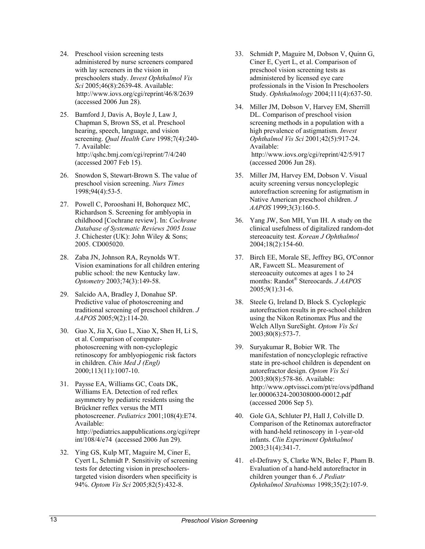- 24. Preschool vision screening tests administered by nurse screeners compared with lay screeners in the vision in preschoolers study. *Invest Ophthalmol Vis Sci* 2005;46(8):2639-48. Available: http://www.iovs.org/cgi/reprint/46/8/2639 (accessed 2006 Jun 28).
- 25. Bamford J, Davis A, Boyle J, Law J, Chapman S, Brown SS, et al. Preschool hearing, speech, language, and vision screening. *Qual Health Care* 1998;7(4):240- 7. Available: http://qshc.bmj.com/cgi/reprint/7/4/240 (accessed 2007 Feb 15).
- 26. Snowdon S, Stewart-Brown S. The value of preschool vision screening. *Nurs Times* 1998;94(4):53-5.
- 27. Powell C, Porooshani H, Bohorquez MC, Richardson S. Screening for amblyopia in childhood [Cochrane review]. In: *Cochrane Database of Systematic Reviews 2005 Issue 3*. Chichester (UK): John Wiley & Sons; 2005. CD005020.
- 28. Zaba JN, Johnson RA, Reynolds WT. Vision examinations for all children entering public school: the new Kentucky law. *Optometry* 2003;74(3):149-58.
- 29. Salcido AA, Bradley J, Donahue SP. Predictive value of photoscreening and traditional screening of preschool children. *J AAPOS* 2005;9(2):114-20.
- 30. Guo X, Jia X, Guo L, Xiao X, Shen H, Li S, et al. Comparison of computerphotoscreening with non-cycloplegic retinoscopy for amblyopiogenic risk factors in children. *Chin Med J (Engl)* 2000;113(11):1007-10.
- 31. Paysse EA, Williams GC, Coats DK, Williams EA. Detection of red reflex asymmetry by pediatric residents using the Brückner reflex versus the MTI photoscreener. *Pediatrics* 2001;108(4):E74. Available: http://pediatrics.aappublications.org/cgi/repr int/108/4/e74 (accessed 2006 Jun 29).
- 32. Ying GS, Kulp MT, Maguire M, Ciner E, Cyert L, Schmidt P. Sensitivity of screening tests for detecting vision in preschoolerstargeted vision disorders when specificity is 94%. *Optom Vis Sci* 2005;82(5):432-8.
- 33. Schmidt P, Maguire M, Dobson V, Quinn G, Ciner E, Cyert L, et al. Comparison of preschool vision screening tests as administered by licensed eye care professionals in the Vision In Preschoolers Study. *Ophthalmology* 2004;111(4):637-50.
- 34. Miller JM, Dobson V, Harvey EM, Sherrill DL. Comparison of preschool vision screening methods in a population with a high prevalence of astigmatism. *Invest Ophthalmol Vis Sci* 2001;42(5):917-24. Available:  $http://www.iovs.org/cgi/reprint/42/5/917$ (accessed 2006 Jun 28).
- 35. Miller JM, Harvey EM, Dobson V. Visual acuity screening versus noncycloplegic autorefraction screening for astigmatism in Native American preschool children. *J AAPOS* 1999;3(3):160-5.
- 36. Yang JW, Son MH, Yun IH. A study on the clinical usefulness of digitalized random-dot stereoacuity test. *Korean J Ophthalmol* 2004;18(2):154-60.
- 37. Birch EE, Morale SE, Jeffrey BG, O'Connor AR, Fawcett SL. Measurement of stereoacuity outcomes at ages 1 to 24 months: Randot® Stereocards. *J AAPOS* 2005;9(1):31-6.
- 38. Steele G, Ireland D, Block S. Cycloplegic autorefraction results in pre-school children using the Nikon Retinomax Plus and the Welch Allyn SureSight. *Optom Vis Sci* 2003;80(8):573-7.
- 39. Suryakumar R, Bobier WR. The manifestation of noncycloplegic refractive state in pre-school children is dependent on autorefractor design. *Optom Vis Sci* 2003;80(8):578-86. Available: http://www.optvissci.com/pt/re/ovs/pdfhand ler.00006324-200308000-00012.pdf>> (accessed 2006 Sep 5).
- 40. Gole GA, Schluter PJ, Hall J, Colville D. Comparison of the Retinomax autorefractor with hand-held retinoscopy in 1-year-old infants. *Clin Experiment Ophthalmol* 2003;31(4):341-7.
- 41. el-Defrawy S, Clarke WN, Belec F, Pham B. Evaluation of a hand-held autorefractor in children younger than 6. *J Pediatr Ophthalmol Strabismus* 1998;35(2):107-9.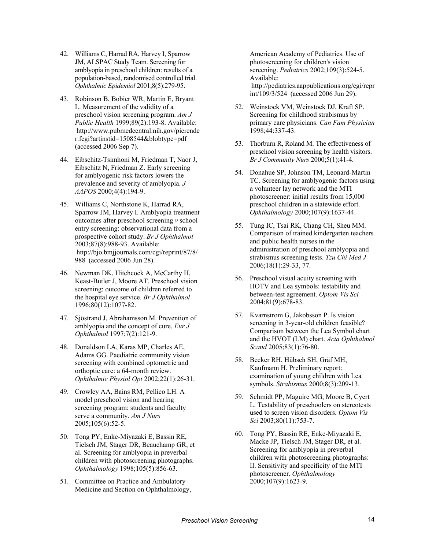- 42. Williams C, Harrad RA, Harvey I, Sparrow JM, ALSPAC Study Team. Screening for amblyopia in preschool children: results of a population-based, randomised controlled trial. *Ophthalmic Epidemiol* 2001;8(5):279-95.
- 43. Robinson B, Bobier WR, Martin E, Bryant L. Measurement of the validity of a preschool vision screening program. *Am J Public Health* 1999;89(2):193-8. Available: http://www.pubmedcentral.nih.gov/picrende r.fcgi?artinstid=1508544&blobtype=pdf>> (accessed 2006 Sep 7).
- 44. Eibschitz-Tsimhoni M, Friedman T, Naor J, Eibschitz N, Friedman Z. Early screening for amblyogenic risk factors lowers the prevalence and severity of amblyopia. *J AAPOS* 2000;4(4):194-9.
- 45. Williams C, Northstone K, Harrad RA, Sparrow JM, Harvey I. Amblyopia treatment outcomes after preschool screening *v* school entry screening: observational data from a prospective cohort study. *Br J Ophthalmol* 2003;87(8):988-93. Available: http://bjo.bmjjournals.com/cgi/reprint/87/8/ 988 (accessed 2006 Jun 28).
- 46. Newman DK, Hitchcock A, McCarthy H, Keast-Butler J, Moore AT. Preschool vision screening: outcome of children referred to the hospital eye service. *Br J Ophthalmol* 1996;80(12):1077-82.
- 47. Sjöstrand J, Abrahamsson M. Prevention of amblyopia and the concept of cure. *Eur J Ophthalmol* 1997;7(2):121-9.
- 48. Donaldson LA, Karas MP, Charles AE, Adams GG. Paediatric community vision screening with combined optometric and orthoptic care: a 64-month review. *Ophthalmic Physiol Opt* 2002;22(1):26-31.
- 49. Crowley AA, Bains RM, Pellico LH. A model preschool vision and hearing screening program: students and faculty serve a community. *Am J Nurs* 2005;105(6):52-5.
- 50. Tong PY, Enke-Miyazaki E, Bassin RE, Tielsch JM, Stager DR, Beauchamp GR, et al. Screening for amblyopia in preverbal children with photoscreening photographs. *Ophthalmology* 1998;105(5):856-63.
- 51. Committee on Practice and Ambulatory Medicine and Section on Ophthalmology,

American Academy of Pediatrics. Use of photoscreening for children's vision screening. *Pediatrics* 2002;109(3):524-5. Available: http://pediatrics.aappublications.org/cgi/repr int/109/3/524 (accessed 2006 Jun 29).

- 52. Weinstock VM, Weinstock DJ, Kraft SP. Screening for childhood strabismus by primary care physicians. *Can Fam Physician* 1998;44:337-43.
- 53. Thorburn R, Roland M. The effectiveness of preschool vision screening by health visitors. *Br J Community Nurs* 2000;5(1):41-4.
- 54. Donahue SP, Johnson TM, Leonard-Martin TC. Screening for amblyogenic factors using a volunteer lay network and the MTI photoscreener: initial results from 15,000 preschool children in a statewide effort. *Ophthalmology* 2000;107(9):1637-44.
- 55. Tung IC, Tsai RK, Chang CH, Sheu MM. Comparison of trained kindergarten teachers and public health nurses in the administration of preschool amblyopia and strabismus screening tests. *Tzu Chi Med J* 2006;18(1):29-33, 77.
- 56. Preschool visual acuity screening with HOTV and Lea symbols: testability and between-test agreement. *Optom Vis Sci* 2004;81(9):678-83.
- 57. Kvarnstrom G, Jakobsson P. Is vision screening in 3-year-old children feasible? Comparison between the Lea Symbol chart and the HVOT (LM) chart. *Acta Ophthalmol Scand* 2005;83(1):76-80.
- 58. Becker RH, Hübsch SH, Gräf MH, Kaufmann H. Preliminary report: examination of young children with Lea symbols. *Strabismus* 2000;8(3):209-13.
- 59. Schmidt PP, Maguire MG, Moore B, Cyert L. Testability of preschoolers on stereotests used to screen vision disorders. *Optom Vis Sci* 2003;80(11):753-7.
- 60. Tong PY, Bassin RE, Enke-Miyazaki E, Macke JP, Tielsch JM, Stager DR, et al. Screening for amblyopia in preverbal children with photoscreening photographs: II. Sensitivity and specificity of the MTI photoscreener. *Ophthalmology* 2000;107(9):1623-9.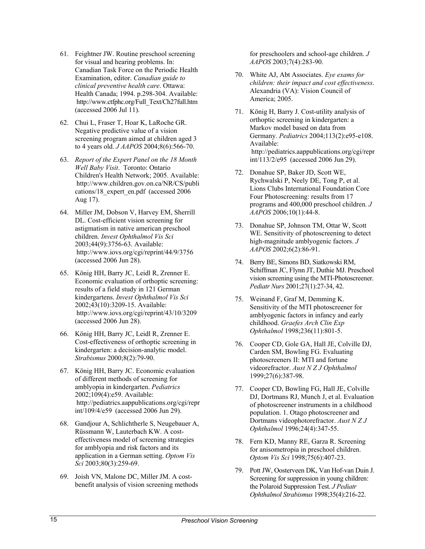- 61. Feightner JW. Routine preschool screening for visual and hearing problems. In: Canadian Task Force on the Periodic Health Examination, editor. *Canadian guide to clinical preventive health care*. Ottawa: Health Canada; 1994. p.298-304. Available: http://www.ctfphc.org/Full\_Text/Ch27full.htm (accessed 2006 Jul 11).
- 62. Chui L, Fraser T, Hoar K, LaRoche GR. Negative predictive value of a vision screening program aimed at children aged 3 to 4 years old. *J AAPOS* 2004;8(6):566-70.
- 63. *Report of the Expert Panel on the 18 Month Well Baby Visit*. Toronto: Ontario Children's Health Network; 2005. Available: http://www.children.gov.on.ca/NR/CS/publi cations/18\_expert\_en.pdf (accessed 2006) Aug 17).
- 64. Miller JM, Dobson V, Harvey EM, Sherrill DL. Cost-efficient vision screening for astigmatism in native american preschool children. *Invest Ophthalmol Vis Sci* 2003;44(9):3756-63. Available: http://www.iovs.org/cgi/reprint/44/9/3756 (accessed 2006 Jun 28).
- 65. König HH, Barry JC, Leidl R, Zrenner E. Economic evaluation of orthoptic screening: results of a field study in 121 German kindergartens. *Invest Ophthalmol Vis Sci* 2002;43(10):3209-15. Available: http://www.iovs.org/cgi/reprint/43/10/3209 (accessed 2006 Jun 28).
- 66. König HH, Barry JC, Leidl R, Zrenner E. Cost-effectiveness of orthoptic screening in kindergarten: a decision-analytic model. *Strabismus* 2000;8(2):79-90.
- 67. König HH, Barry JC. Economic evaluation of different methods of screening for amblyopia in kindergarten. *Pediatrics* 2002;109(4):e59. Available: http://pediatrics.aappublications.org/cgi/repr int/109/4/e59 (accessed 2006 Jun 29).
- 68. Gandjour A, Schlichtherle S, Neugebauer A, Rüssmann W, Lauterbach KW. A costeffectiveness model of screening strategies for amblyopia and risk factors and its application in a German setting. *Optom Vis Sci* 2003;80(3):259-69.
- 69. Joish VN, Malone DC, Miller JM. A costbenefit analysis of vision screening methods

for preschoolers and school-age children. *J AAPOS* 2003;7(4):283-90.

- 70. White AJ, Abt Associates. *Eye exams for children: their impact and cost effectiveness*. Alexandria (VA): Vision Council of America; 2005.
- 71. König H, Barry J. Cost-utility analysis of orthoptic screening in kindergarten: a Markov model based on data from Germany. *Pediatrics* 2004;113(2):e95-e108. Available: http://pediatrics.aappublications.org/cgi/repr  $int/113/2/e95$  (accessed 2006 Jun 29).
- 72. Donahue SP, Baker JD, Scott WE, Rychwalski P, Neely DE, Tong P, et al. Lions Clubs International Foundation Core Four Photoscreening: results from 17 programs and 400,000 preschool children. *J AAPOS* 2006;10(1):44-8.
- 73. Donahue SP, Johnson TM, Ottar W, Scott WE. Sensitivity of photoscreening to detect high-magnitude amblyogenic factors. *J AAPOS* 2002;6(2):86-91.
- 74. Berry BE, Simons BD, Siatkowski RM, Schiffman JC, Flynn JT, Duthie MJ. Preschool vision screening using the MTI-Photoscreener. *Pediatr Nurs* 2001;27(1):27-34, 42.
- 75. Weinand F, Graf M, Demming K. Sensitivity of the MTI photoscreener for amblyogenic factors in infancy and early childhood. *Graefes Arch Clin Exp Ophthalmol* 1998;236(11):801-5.
- 76. Cooper CD, Gole GA, Hall JE, Colville DJ, Carden SM, Bowling FG. Evaluating photoscreeners II: MTI and fortune videorefractor. *Aust N Z J Ophthalmol* 1999;27(6):387-98.
- 77. Cooper CD, Bowling FG, Hall JE, Colville DJ, Dortmans RJ, Munch J, et al. Evaluation of photoscreener instruments in a childhood population. 1. Otago photoscreener and Dortmans videophotorefractor. *Aust N Z J Ophthalmol* 1996;24(4):347-55.
- 78. Fern KD, Manny RE, Garza R. Screening for anisometropia in preschool children. *Optom Vis Sci* 1998;75(6):407-23.
- 79. Pott JW, Oosterveen DK, Van Hof-van Duin J. Screening for suppression in young children: the Polaroid Suppression Test. *J Pediatr Ophthalmol Strabismus* 1998;35(4):216-22.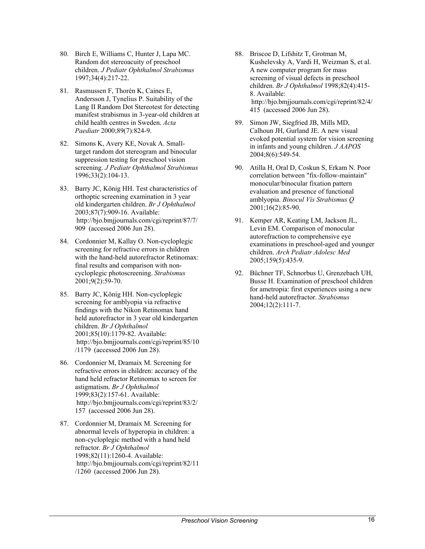- 80. Birch E, Williams C, Hunter J, Lapa MC. Random dot stereoacuity of preschool children. *J Pediatr Ophthalmol Strabismus* 1997;34(4):217-22.
- 81. Rasmussen F, Thorén K, Caines E, Andersson J, Tynelius P. Suitability of the Lang II Random Dot Stereotest for detecting manifest strabismus in 3-year-old children at child health centres in Sweden. *Acta Paediatr* 2000;89(7):824-9.
- 82. Simons K, Avery KE, Novak A. Smalltarget random dot stereogram and binocular suppression testing for preschool vision screening. *J Pediatr Ophthalmol Strabismus* 1996;33(2):104-13.
- 83. Barry JC, König HH. Test characteristics of orthoptic screening examination in 3 year old kindergarten children. *Br J Ophthalmol* 2003;87(7):909-16. Available: http://bjo.bmjjournals.com/cgi/reprint/87/7/ 909 (accessed 2006 Jun 28).
- 84. Cordonnier M, Kallay O. Non-cycloplegic screening for refractive errors in children with the hand-held autorefractor Retinomax: final results and comparison with noncycloplegic photoscreening. *Strabismus* 2001;9(2):59-70.
- 85. Barry JC, König HH. Non-cycloplegic screening for amblyopia via refractive findings with the Nikon Retinomax hand held autorefractor in 3 year old kindergarten children. *Br J Ophthalmol* 2001;85(10):1179-82. Available: http://bjo.bmjjournals.com/cgi/reprint/85/10 /1179 (accessed 2006 Jun 28).
- 86. Cordonnier M, Dramaix M. Screening for refractive errors in children: accuracy of the hand held refractor Retinomax to screen for astigmatism. *Br J Ophthalmol* 1999;83(2):157-61. Available: http://bjo.bmjjournals.com/cgi/reprint/83/2/ 157 (accessed 2006 Jun 28).
- 87. Cordonnier M, Dramaix M. Screening for abnormal levels of hyperopia in children: a non-cycloplegic method with a hand held refractor. *Br J Ophthalmol* 1998;82(11):1260-4. Available: http://bjo.bmjjournals.com/cgi/reprint/82/11  $/1260$  (accessed 2006 Jun 28).
- 88. Briscoe D, Lifshitz T, Grotman M, Kushelevsky A, Vardi H, Weizman S, et al. A new computer program for mass screening of visual defects in preschool children. *Br J Ophthalmol* 1998;82(4):415- 8. Available: http://bjo.bmjjournals.com/cgi/reprint/82/4/ 415 (accessed 2006 Jun 28).
- 89. Simon JW, Siegfried JB, Mills MD, Calhoun JH, Gurland JE. A new visual evoked potential system for vision screening in infants and young children. *J AAPOS* 2004;8(6):549-54.
- 90. Atilla H, Oral D, Coskun S, Erkam N. Poor correlation between "fix-follow-maintain" monocular/binocular fixation pattern evaluation and presence of functional amblyopia. *Binocul Vis Strabismus Q* 2001;16(2):85-90.
- 91. Kemper AR, Keating LM, Jackson JL, Levin EM. Comparison of monocular autorefraction to comprehensive eye examinations in preschool-aged and younger children. *Arch Pediatr Adolesc Med* 2005;159(5):435-9.
- 92. Büchner TF, Schnorbus U, Grenzebach UH, Busse H. Examination of preschool children for ametropia: first experiences using a new hand-held autorefractor. *Strabismus* 2004;12(2):111-7.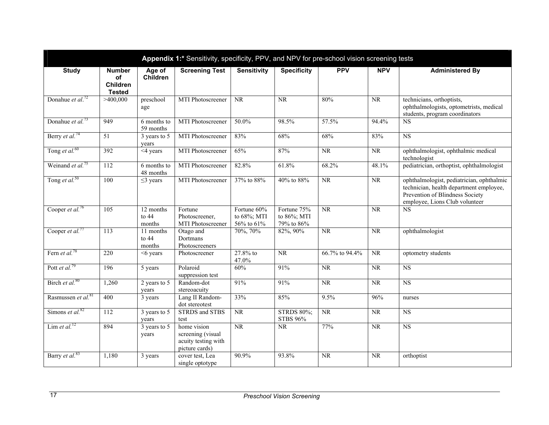|                                |                                                         |                                    | Appendix 1:* Sensitivity, specificity, PPV, and NPV for pre-school vision screening tests |                                                |                                          |                |                        |                                                                                                                                                           |
|--------------------------------|---------------------------------------------------------|------------------------------------|-------------------------------------------------------------------------------------------|------------------------------------------------|------------------------------------------|----------------|------------------------|-----------------------------------------------------------------------------------------------------------------------------------------------------------|
| <b>Study</b>                   | <b>Number</b><br>of<br><b>Children</b><br><b>Tested</b> | Age of<br><b>Children</b>          | <b>Screening Test</b>                                                                     | <b>Sensitivity</b>                             | <b>Specificity</b>                       | <b>PPV</b>     | <b>NPV</b>             | <b>Administered By</b>                                                                                                                                    |
| Donahue et al. <sup>72</sup>   | >400,000                                                | preschool<br>age                   | MTI Photoscreener                                                                         | <b>NR</b>                                      | NR                                       | 80%            | $\overline{\text{NR}}$ | technicians, orthoptists,<br>ophthalmologists, optometrists, medical<br>students, program coordinators                                                    |
| Donahue et al. <sup>73</sup>   | 949                                                     | $6$ months to<br>59 months         | <b>MTI Photoscreener</b>                                                                  | 50.0%                                          | 98.5%                                    | 57.5%          | 94.4%                  | <b>NS</b>                                                                                                                                                 |
| Berry et al. <sup>74</sup>     | 51                                                      | 3 years to 5<br>years              | MTI Photoscreener                                                                         | 83%                                            | 68%                                      | 68%            | 83%                    | <b>NS</b>                                                                                                                                                 |
| Tong et al. <sup>60</sup>      | 392                                                     | $4$ years                          | MTI Photoscreener                                                                         | 65%                                            | 87%                                      | <b>NR</b>      | NR                     | ophthalmologist, ophthalmic medical<br>technologist                                                                                                       |
| Weinand et al. <sup>75</sup>   | 112                                                     | 6 months to<br>48 months           | MTI Photoscreener                                                                         | 82.8%                                          | 61.8%                                    | 68.2%          | 48.1%                  | pediatrician, orthoptist, ophthalmologist                                                                                                                 |
| Tong et al. <sup>50</sup>      | 100                                                     | $\leq$ 3 years                     | MTI Photoscreener                                                                         | 37% to 88%                                     | 40% to 88%                               | <b>NR</b>      | <b>NR</b>              | ophthalmologist, pediatrician, ophthalmic<br>technician, health department employee,<br>Prevention of Blindness Society<br>employee, Lions Club volunteer |
| Cooper et al. <sup>76</sup>    | 105                                                     | 12 months<br>to $44$<br>months     | Fortune<br>Photoscreener,<br>MTI Photoscreener                                            | Fortune 60%<br>to 68%; MTI<br>$56\%$ to $61\%$ | Fortune 75%<br>to 86%; MTI<br>79% to 86% | <b>NR</b>      | $\overline{\text{NR}}$ | $\overline{\text{NS}}$                                                                                                                                    |
| Cooper et al. <sup>77</sup>    | $\overline{113}$                                        | 11 months<br>to $44$<br>months     | Otago and<br>Dortmans<br>Photoscreeners                                                   | 70%, 70%                                       | 82%, 90%                                 | <b>NR</b>      | $\overline{\text{NR}}$ | ophthalmologist                                                                                                                                           |
| Fern et al. <sup>78</sup>      | 220                                                     | $<6$ years                         | Photoscreener                                                                             | 27.8% to<br>47.0%                              | NR                                       | 66.7% to 94.4% | NR                     | optometry students                                                                                                                                        |
| Pott et al. <sup>79</sup>      | 196                                                     | 5 years                            | Polaroid<br>suppression test                                                              | 60%                                            | 91%                                      | <b>NR</b>      | NR                     | $\overline{\text{NS}}$                                                                                                                                    |
| Birch et al. <sup>80</sup>     | 1,260                                                   | 2 years to 5<br>years              | Random-dot<br>stereoacuity                                                                | 91%                                            | 91%                                      | <b>NR</b>      | <b>NR</b>              | <b>NS</b>                                                                                                                                                 |
| Rasmussen et al. <sup>81</sup> | 400                                                     | 3 years                            | Lang II Random-<br>dot stereotest                                                         | 33%                                            | 85%                                      | 9.5%           | 96%                    | nurses                                                                                                                                                    |
| Simons et al. $82$             | 112                                                     | 3 years to 5<br>years              | <b>STRDS</b> and STBS<br>test                                                             | NR                                             | <b>STRDS 80%;</b><br><b>STBS 96%</b>     | NR             | NR                     | NS                                                                                                                                                        |
| Lim et al. <sup>12</sup>       | 894                                                     | 3 years to $\overline{5}$<br>years | home vision<br>screening (visual<br>acuity testing with<br>picture cards)                 | NR                                             | <b>NR</b>                                | 77%            | NR                     | $\overline{\text{NS}}$                                                                                                                                    |
| Barry et al. <sup>83</sup>     | 1,180                                                   | 3 years                            | cover test, Lea<br>single optotype                                                        | 90.9%                                          | 93.8%                                    | <b>NR</b>      | <b>NR</b>              | orthoptist                                                                                                                                                |